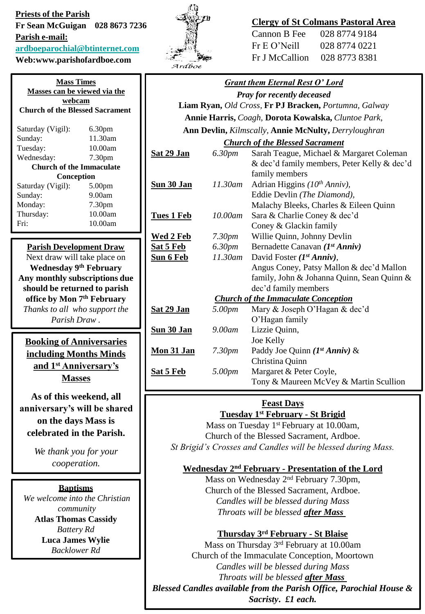# **Priests of the Parish Fr Sean McGuigan 028 8673 7236**

**Parish e-mail:**

**[ardboeparochial@btinternet.com](mailto:ardboeparochial@btinternet.com)**

**Web:www.parishofardboe.com**

| <b>Mass Times</b><br>Masses can be viewed via the |                    |  |
|---------------------------------------------------|--------------------|--|
|                                                   |                    |  |
| Saturday (Vigil):                                 | 6.30 <sub>pm</sub> |  |
| Sunday:                                           | 11.30am            |  |
| Tuesday:                                          | 10.00am            |  |
| Wednesday:                                        | 7.30 <sub>pm</sub> |  |
| Church of the Immaculate                          |                    |  |
| Conception                                        |                    |  |
| Saturday (Vigil):                                 | 5.00 <sub>pm</sub> |  |
| Sunday:                                           | 9.00am             |  |
| Monday:                                           | 7.30 <sub>pm</sub> |  |
| Thursday:                                         | 10.00am            |  |
| Fri:                                              | 10.00am            |  |
|                                                   |                    |  |

### **Parish Development Draw**

Next draw will take place on **Wednesday 9th February Any monthly subscriptions due should be returned to parish office by Mon 7th February** *Thanks to all who support the Parish Draw .*

**Booking of Anniversaries including Months Minds and 1st Anniversary's Masses**

**As of this weekend, all anniversary's will be shared on the days Mass is celebrated in the Parish.** 

> *We thank you for your cooperation.*

## **Baptisms**

*We welcome into the Christian community* **Atlas Thomas Cassidy** *Battery Rd* **Luca James Wylie** *Backlower Rd*



# **Clergy of St Colmans Pastoral Area**

| Cannon B Fee   | 028 8774 9184 |
|----------------|---------------|
| Fr E O' Neill  | 028 8774 0221 |
| Fr J McCallion | 028 8773 8381 |

|--|

*Pray for recently deceased* **Liam Ryan,** *Old Cross,* **Fr PJ Bracken,** *Portumna, Galway* **Annie Harris,** *Coagh,* **Dorota Kowalska,** *Cluntoe Park*, **Ann Devlin,** *Kilmscally,* **Annie McNulty,** *Derryloughran*

#### *Church of the Blessed Sacrament*

| Charth of the Diessea Sacrament            |                    |                                             |  |
|--------------------------------------------|--------------------|---------------------------------------------|--|
| <u>Sat 29 Jan</u>                          | 6.30pm             | Sarah Teague, Michael & Margaret Coleman    |  |
|                                            |                    | & dec'd family members, Peter Kelly & dec'd |  |
|                                            |                    | family members                              |  |
| <u>Sun 30 Jan</u>                          | 11.30am            | Adrian Higgins $(10th Anniv)$ ,             |  |
|                                            |                    | Eddie Devlin (The Diamond),                 |  |
|                                            |                    | Malachy Bleeks, Charles & Eileen Quinn      |  |
| <u>Tues 1 Feb</u>                          | 10.00am            | Sara & Charlie Coney & dec'd                |  |
|                                            |                    | Coney & Glackin family                      |  |
| <u>Wed 2 Feb</u>                           | 7.30 <sub>pm</sub> | Willie Quinn, Johnny Devlin                 |  |
| <u>Sat 5 Feb</u>                           | 6.30 <sub>pm</sub> | Bernadette Canavan $(I^{st} Anniv)$         |  |
| <u>Sun 6 Feb</u>                           | 11.30am            | David Foster $(I^{st} Anniv)$ ,             |  |
|                                            |                    | Angus Coney, Patsy Mallon & dec'd Mallon    |  |
|                                            |                    | family, John & Johanna Quinn, Sean Quinn &  |  |
|                                            |                    | dec'd family members                        |  |
| <b>Church of the Immaculate Conception</b> |                    |                                             |  |
| <u>Sat 29 Jan</u>                          | 5.00pm             | Mary & Joseph O'Hagan & dec'd               |  |
|                                            |                    | O'Hagan family                              |  |
| <u>Sun 30 Jan</u>                          | 9.00am             | Lizzie Quinn,                               |  |
|                                            |                    | Joe Kelly                                   |  |
| <u>Mon 31 Jan</u>                          | 7.30 <sub>pm</sub> | Paddy Joe Quinn ( $Ist Anniv$ ) &           |  |
|                                            |                    | Christina Quinn                             |  |
| <u>Sat 5 Feb</u>                           | 5.00pm             | Margaret & Peter Coyle,                     |  |
|                                            |                    | Tony & Maureen McVey & Martin Scullion      |  |
|                                            |                    |                                             |  |

#### **Feast Days Tuesday 1st February - St Brigid**

Mass on Tuesday 1<sup>st</sup> February at 10.00am, Church of the Blessed Sacrament, Ardboe. *St Brigid's Crosses and Candles will be blessed during Mass.*

### **Wednesday 2nd February - Presentation of the Lord**

Mass on Wednesday 2nd February 7.30pm, Church of the Blessed Sacrament, Ardboe. *Candles will be blessed during Mass Throats will be blessed after Mass*

# **Thursday 3rd February - St Blaise**

Mass on Thursday 3rd February at 10.00am Church of the Immaculate Conception, Moortown *Candles will be blessed during Mass Throats will be blessed after Mass Blessed Candles available from the Parish Office, Parochial House & Sacristy***.** *£1 each.*